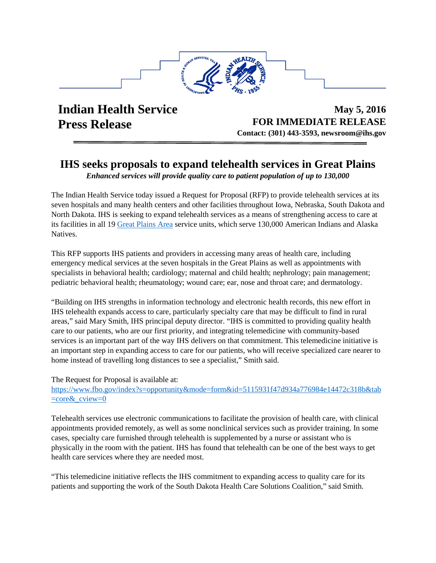

**Indian Health Service Press Release** 

**May 5, 2016 FOR IMMEDIATE RELEASE Contact: (301) 443-3593, newsroom@ihs.gov**

## **IHS seeks proposals to expand telehealth services in Great Plains**

*Enhanced services will provide quality care to patient population of up to 130,000* 

The Indian Health Service today issued a Request for Proposal (RFP) to provide telehealth services at its seven hospitals and many health centers and other facilities throughout Iowa, Nebraska, South Dakota and North Dakota. IHS is seeking to expand telehealth services as a means of strengthening access to care at its facilities in all 19 [Great Plains Area](https://www.ihs.gov/greatplains/) service units, which serve 130,000 American Indians and Alaska Natives.

This RFP supports IHS patients and providers in accessing many areas of health care, including emergency medical services at the seven hospitals in the Great Plains as well as appointments with specialists in behavioral health; cardiology; maternal and child health; nephrology; pain management; pediatric behavioral health; rheumatology; wound care; ear, nose and throat care; and dermatology.

"Building on IHS strengths in information technology and electronic health records, this new effort in IHS telehealth expands access to care, particularly specialty care that may be difficult to find in rural areas," said Mary Smith, IHS principal deputy director. "IHS is committed to providing quality health care to our patients, who are our first priority, and integrating telemedicine with community-based services is an important part of the way IHS delivers on that commitment. This telemedicine initiative is an important step in expanding access to care for our patients, who will receive specialized care nearer to home instead of travelling long distances to see a specialist," Smith said.

The Request for Proposal is available at:

[https://www.fbo.gov/index?s=opportunity&mode=form&id=5115931f47d934a776984e14472c318b&tab](https://www.fbo.gov/index?s=opportunity&mode=form&id=5115931f47d934a776984e14472c318b&tab=core&_cview=0) [=core&\\_cview=0](https://www.fbo.gov/index?s=opportunity&mode=form&id=5115931f47d934a776984e14472c318b&tab=core&_cview=0)

Telehealth services use electronic communications to facilitate the provision of health care, with clinical appointments provided remotely, as well as some nonclinical services such as provider training. In some cases, specialty care furnished through telehealth is supplemented by a nurse or assistant who is physically in the room with the patient. IHS has found that telehealth can be one of the best ways to get health care services where they are needed most.

"This telemedicine initiative reflects the IHS commitment to expanding access to quality care for its patients and supporting the work of the South Dakota Health Care Solutions Coalition," said Smith.